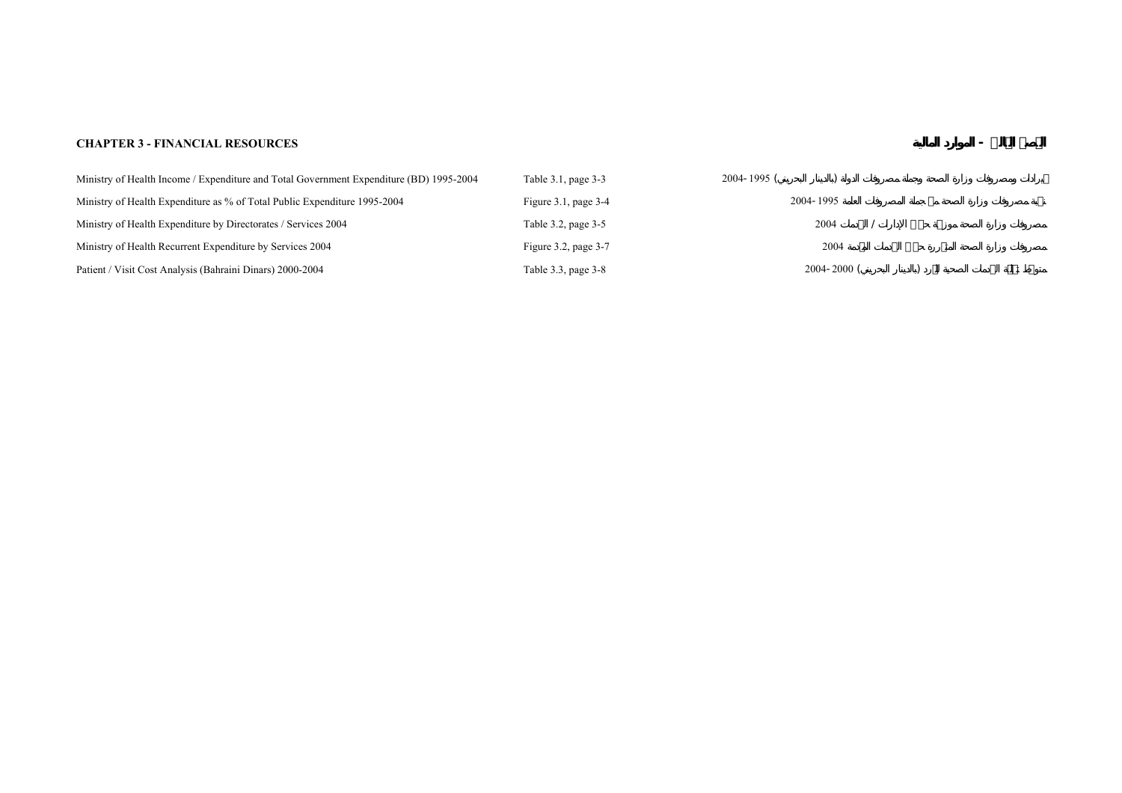## **CHAPTER 3 - FINANCIAL RESOURCES - ¾صŽال**

| Ministry of Health Income / Expenditure and Total Government Expenditure (BD) 1995-2004 | Table 3.1, page 3-3       | $2004 - 1995$ ( |
|-----------------------------------------------------------------------------------------|---------------------------|-----------------|
| Ministry of Health Expenditure as % of Total Public Expenditure 1995-2004               | Figure $3.1$ , page $3-4$ | 2004-1995       |
| Ministry of Health Expenditure by Directorates / Services 2004                          | Table 3.2, page 3-5       | 2004            |
| Ministry of Health Recurrent Expenditure by Services 2004                               | Figure $3.2$ , page $3-7$ | 2004            |
| Patient / Visit Cost Analysis (Bahraini Dinars) 2000-2004                               | Table 3.3, page 3-8       | $2004 - 2000$ ( |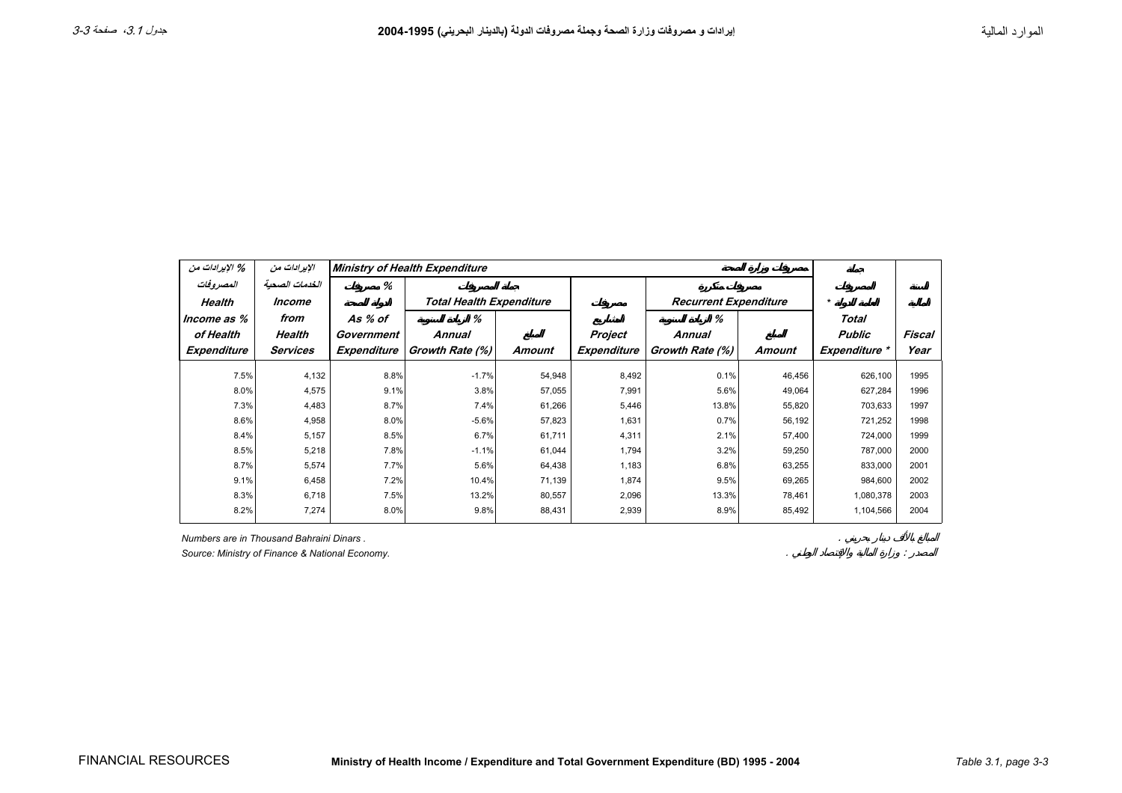<span id="page-2-0"></span>

| % الإيرادات من | الإيرادات من   |             | <b>Ministry of Health Expenditure</b> |        |             |                              |        |               |        |
|----------------|----------------|-------------|---------------------------------------|--------|-------------|------------------------------|--------|---------------|--------|
| المصروفات      | الخدمات الصحبة | %           |                                       |        |             |                              |        |               |        |
| Health         | Income         |             | <b>Total Health Expenditure</b>       |        |             | <b>Recurrent Expenditure</b> |        | $\star$       |        |
| Income as %    | from           | As % of     | %                                     |        |             | ℅                            |        | Total         |        |
| of Health      | Health         | Government  | Annual                                |        | Project     | <b>Annual</b>                |        | <b>Public</b> | Fiscal |
| Expenditure    | Services       | Expenditure | Growth Rate (%)                       | Amount | Expenditure | Growth Rate (%)              | Amount | Expenditure * | Year   |
| 7.5%           | 4,132          | 8.8%        | $-1.7%$                               | 54,948 | 8,492       | 0.1%                         | 46,456 | 626,100       | 1995   |
| 8.0%           | 4,575          | 9.1%        | 3.8%                                  | 57,055 | 7,991       | 5.6%                         | 49,064 | 627,284       | 1996   |
| 7.3%           | 4,483          | 8.7%        | 7.4%                                  | 61,266 | 5,446       | 13.8%                        | 55,820 | 703,633       | 1997   |
| 8.6%           | 4,958          | 8.0%        | $-5.6%$                               | 57,823 | 1,631       | 0.7%                         | 56,192 | 721,252       | 1998   |
| 8.4%           | 5,157          | 8.5%        | 6.7%                                  | 61,711 | 4,311       | 2.1%                         | 57,400 | 724,000       | 1999   |
| 8.5%           | 5,218          | 7.8%        | $-1.1%$                               | 61,044 | 1,794       | 3.2%                         | 59,250 | 787,000       | 2000   |
| 8.7%           | 5,574          | 7.7%        | 5.6%                                  | 64,438 | 1,183       | 6.8%                         | 63,255 | 833,000       | 2001   |
| 9.1%           | 6,458          | 7.2%        | 10.4%                                 | 71,139 | 1,874       | 9.5%                         | 69,265 | 984,600       | 2002   |
| 8.3%           | 6,718          | 7.5%        | 13.2%                                 | 80,557 | 2,096       | 13.3%                        | 78,461 | 1,080,378     | 2003   |
| 8.2%           | 7,274          | 8.0%        | 9.8%                                  | 88,431 | 2,939       | 8.9%                         | 85,492 | 1,104,566     | 2004   |

*Numbers are in Thousand Bahraini Dinars .*

Source: Ministry of Finance & National Economy.

.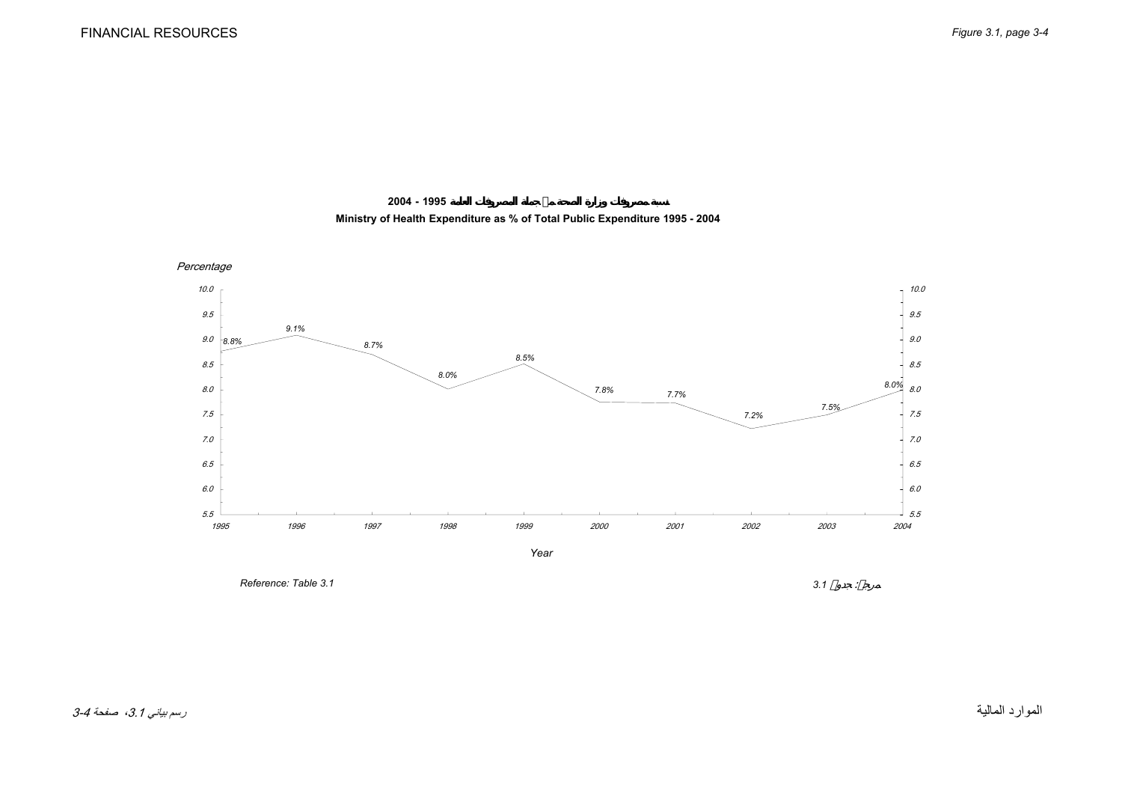

<span id="page-3-0"></span>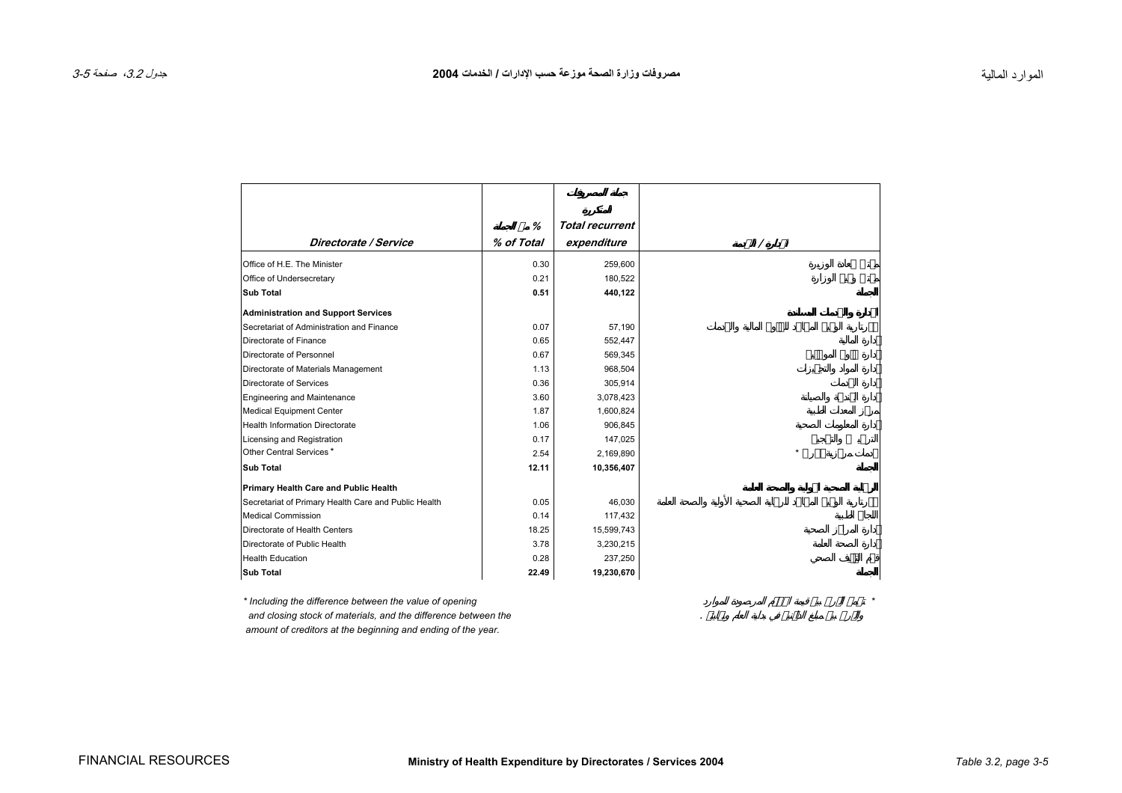<span id="page-4-0"></span>

|                                                      | %          | <b>Total recurrent</b> |
|------------------------------------------------------|------------|------------------------|
| Directorate / Service                                | % of Total | expenditure            |
|                                                      |            |                        |
| Office of H.E. The Minister                          | 0.30       | 259,600                |
| Office of Undersecretary                             | 0.21       | 180,522                |
| <b>Sub Total</b>                                     | 0.51       | 440,122                |
| <b>Administration and Support Services</b>           |            |                        |
| Secretariat of Administration and Finance            | 0.07       | 57,190                 |
| Directorate of Finance                               | 0.65       | 552,447                |
| Directorate of Personnel                             | 0.67       | 569,345                |
| Directorate of Materials Management                  | 1.13       | 968,504                |
| Directorate of Services                              | 0.36       | 305,914                |
| Engineering and Maintenance                          | 3.60       | 3,078,423              |
| Medical Equipment Center                             | 1.87       | 1,600,824              |
| <b>Health Information Directorate</b>                | 1.06       | 906,845                |
| Licensing and Registration                           | 0.17       | 147,025                |
| Other Central Services*                              | 2.54       | 2,169,890              |
| <b>Sub Total</b>                                     | 12.11      | 10,356,407             |
| Primary Health Care and Public Health                |            |                        |
| Secretariat of Primary Health Care and Public Health | 0.05       | 46,030                 |
| <b>Medical Commission</b>                            | 0.14       | 117,432                |
| Directorate of Health Centers                        | 18.25      | 15,599,743             |
| Directorate of Public Health                         | 3.78       | 3,230,215              |
| <b>Health Education</b>                              | 0.28       | 237,250                |
| <b>Sub Total</b>                                     | 22.49      | 19,230,670             |

*\* Including the difference between the value of opening* ¿مŮت*\* and closing stock of materials, and the difference between the* .  *amount of creditors at the beginning and ending of the year.*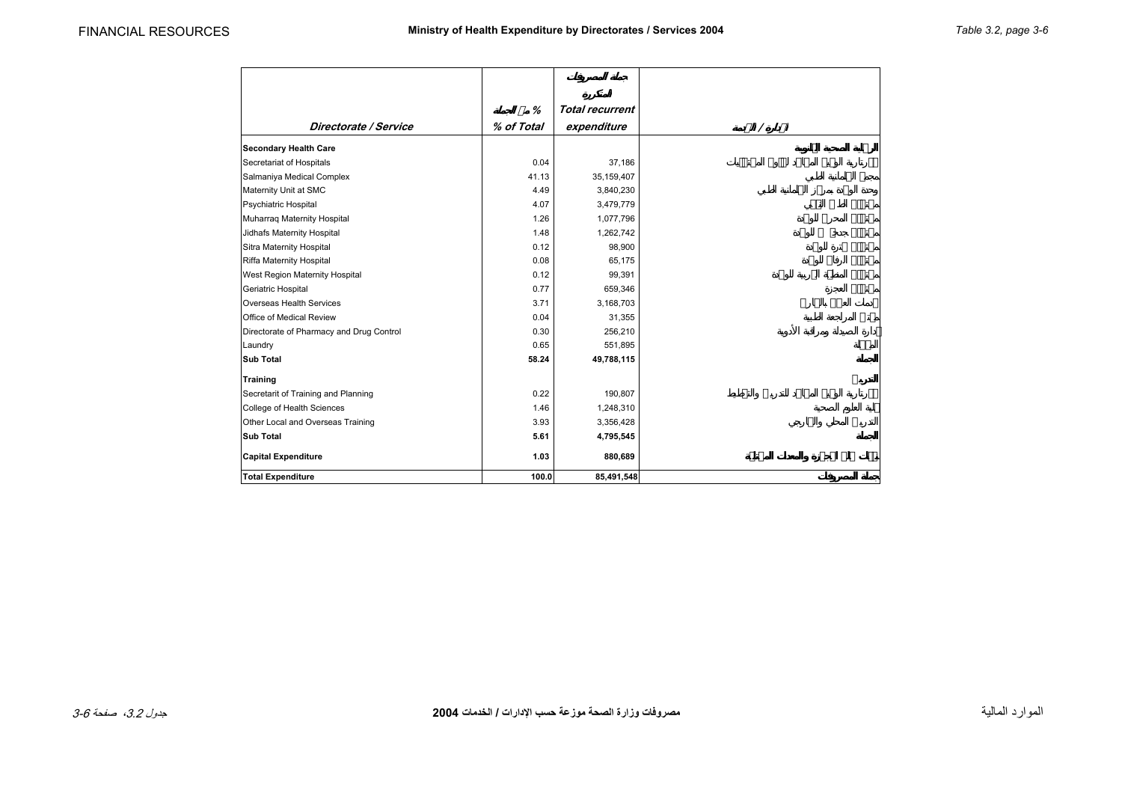|                                          | %          | <b>Total recurrent</b> |   |
|------------------------------------------|------------|------------------------|---|
| Directorate / Service                    | % of Total | expenditure            |   |
| <b>Secondary Health Care</b>             |            |                        |   |
| Secretariat of Hospitals                 | 0.04       | 37,186                 | Ù |
| Salmaniya Medical Complex                | 41.13      | 35,159,407             |   |
| Maternity Unit at SMC                    | 4.49       | 3,840,230              |   |
| Psychiatric Hospital                     | 4.07       | 3,479,779              |   |
| Muharraq Maternity Hospital              | 1.26       | 1,077,796              |   |
| Jidhafs Maternity Hospital               | 1.48       | 1,262,742              |   |
| Sitra Maternity Hospital                 | 0.12       | 98,900                 |   |
| Riffa Maternity Hospital                 | 0.08       | 65,175                 |   |
| West Region Maternity Hospital           | 0.12       | 99,391                 |   |
| Geriatric Hospital                       | 0.77       | 659,346                |   |
| Overseas Health Services                 | 3.71       | 3,168,703              |   |
| Office of Medical Review                 | 0.04       | 31,355                 |   |
| Directorate of Pharmacy and Drug Control | 0.30       | 256,210                |   |
| Laundry                                  | 0.65       | 551,895                |   |
| <b>Sub Total</b>                         | 58.24      | 49,788,115             |   |
| <b>Training</b>                          |            |                        |   |
| Secretarit of Training and Planning      | 0.22       | 190,807                | Ù |
| College of Health Sciences               | 1.46       | 1,248,310              |   |
| Other Local and Overseas Training        | 3.93       | 3,356,428              |   |
| <b>Sub Total</b>                         | 5.61       | 4,795,545              |   |
| <b>Capital Expenditure</b>               | 1.03       | 880,689                |   |
| <b>Total Expenditure</b>                 | 100.0      | 85,491,548             |   |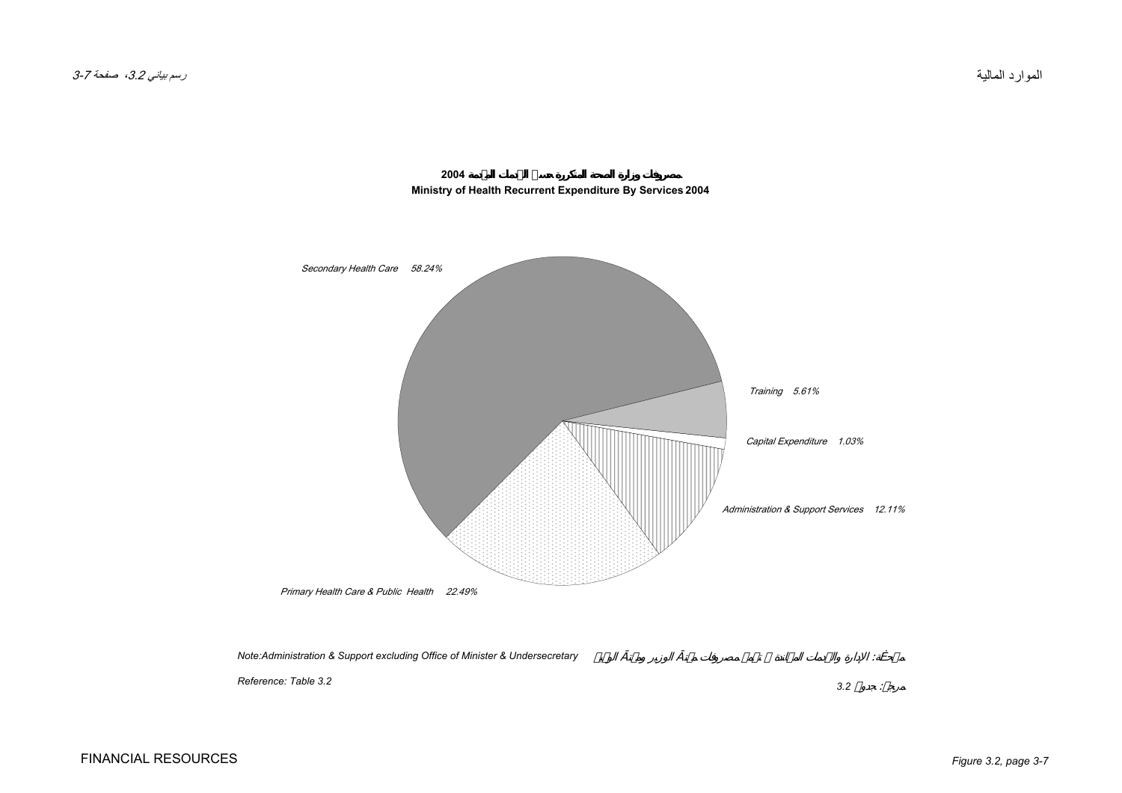<span id="page-6-0"></span>

**2004Ministry of Health Recurrent Expenditure By Services 2004**